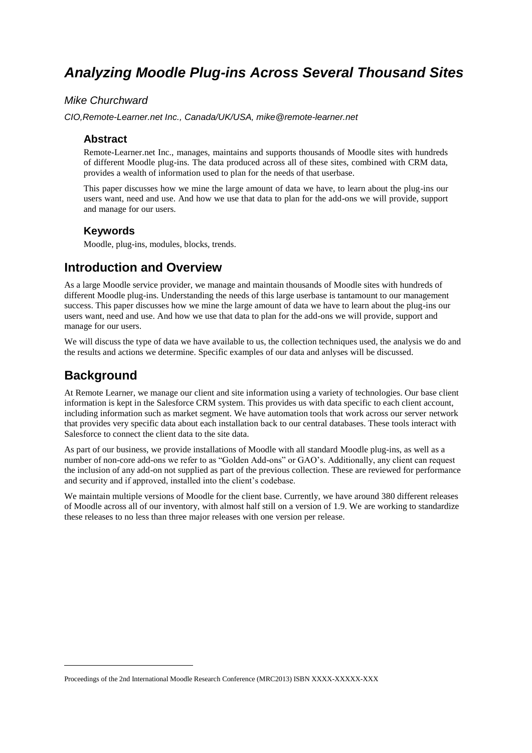# *Analyzing Moodle Plug-ins Across Several Thousand Sites*

## *Mike Churchward*

*CIO,Remote-Learner.net Inc., Canada/UK/USA, mike@remote-learner.net*

### **Abstract**

Remote-Learner.net Inc., manages, maintains and supports thousands of Moodle sites with hundreds of different Moodle plug-ins. The data produced across all of these sites, combined with CRM data, provides a wealth of information used to plan for the needs of that userbase.

This paper discusses how we mine the large amount of data we have, to learn about the plug-ins our users want, need and use. And how we use that data to plan for the add-ons we will provide, support and manage for our users.

### **Keywords**

Moodle, plug-ins, modules, blocks, trends.

## **Introduction and Overview**

As a large Moodle service provider, we manage and maintain thousands of Moodle sites with hundreds of different Moodle plug-ins. Understanding the needs of this large userbase is tantamount to our management success. This paper discusses how we mine the large amount of data we have to learn about the plug-ins our users want, need and use. And how we use that data to plan for the add-ons we will provide, support and manage for our users.

We will discuss the type of data we have available to us, the collection techniques used, the analysis we do and the results and actions we determine. Specific examples of our data and anlyses will be discussed.

## **Background**

-

At Remote Learner, we manage our client and site information using a variety of technologies. Our base client information is kept in the Salesforce CRM system. This provides us with data specific to each client account, including information such as market segment. We have automation tools that work across our server network that provides very specific data about each installation back to our central databases. These tools interact with Salesforce to connect the client data to the site data.

As part of our business, we provide installations of Moodle with all standard Moodle plug-ins, as well as a number of non-core add-ons we refer to as "Golden Add-ons" or GAO's. Additionally, any client can request the inclusion of any add-on not supplied as part of the previous collection. These are reviewed for performance and security and if approved, installed into the client's codebase.

We maintain multiple versions of Moodle for the client base. Currently, we have around 380 different releases of Moodle across all of our inventory, with almost half still on a version of 1.9. We are working to standardize these releases to no less than three major releases with one version per release.

Proceedings of the 2nd International Moodle Research Conference (MRC2013) ISBN XXXX-XXXXX-XXX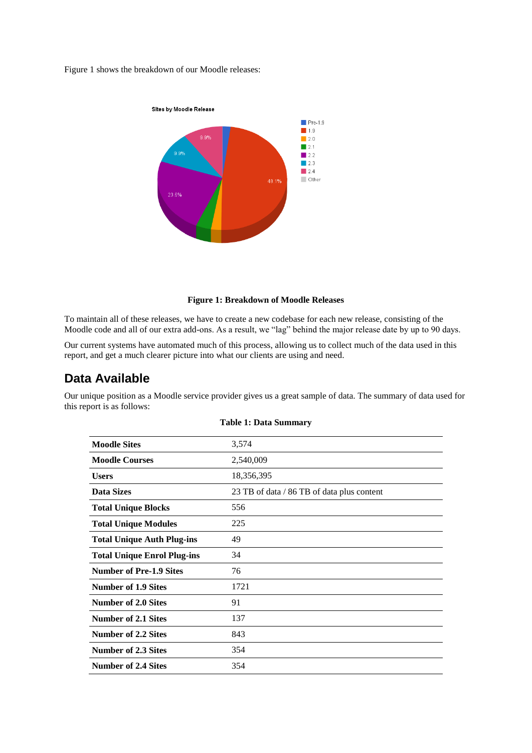Figure 1 shows the breakdown of our Moodle releases:



#### **Figure 1: Breakdown of Moodle Releases**

To maintain all of these releases, we have to create a new codebase for each new release, consisting of the Moodle code and all of our extra add-ons. As a result, we "lag" behind the major release date by up to 90 days.

Our current systems have automated much of this process, allowing us to collect much of the data used in this report, and get a much clearer picture into what our clients are using and need.

## **Data Available**

Our unique position as a Moodle service provider gives us a great sample of data. The summary of data used for this report is as follows:

| 3,574                                      |
|--------------------------------------------|
| 2,540,009                                  |
| 18,356,395                                 |
| 23 TB of data / 86 TB of data plus content |
| 556                                        |
| 225                                        |
| 49                                         |
| 34                                         |
| 76                                         |
| 1721                                       |
| 91                                         |
| 137                                        |
| 843                                        |
| 354                                        |
| 354                                        |
|                                            |

#### **Table 1: Data Summary**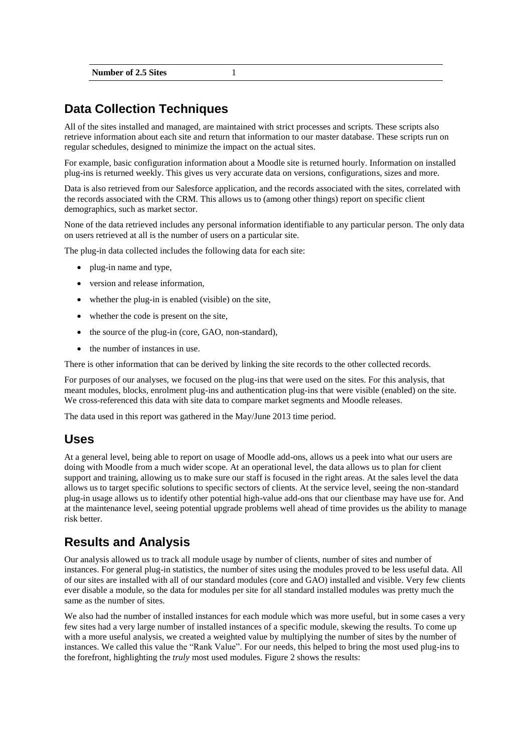| <b>Number of 2.5 Sites</b> |  |  |
|----------------------------|--|--|
|                            |  |  |

# **Data Collection Techniques**

All of the sites installed and managed, are maintained with strict processes and scripts. These scripts also retrieve information about each site and return that information to our master database. These scripts run on regular schedules, designed to minimize the impact on the actual sites.

For example, basic configuration information about a Moodle site is returned hourly. Information on installed plug-ins is returned weekly. This gives us very accurate data on versions, configurations, sizes and more.

Data is also retrieved from our Salesforce application, and the records associated with the sites, correlated with the records associated with the CRM. This allows us to (among other things) report on specific client demographics, such as market sector.

None of the data retrieved includes any personal information identifiable to any particular person. The only data on users retrieved at all is the number of users on a particular site.

The plug-in data collected includes the following data for each site:

- plug-in name and type,
- version and release information,
- whether the plug-in is enabled (visible) on the site,
- whether the code is present on the site,
- the source of the plug-in (core, GAO, non-standard),
- the number of instances in use.

There is other information that can be derived by linking the site records to the other collected records.

For purposes of our analyses, we focused on the plug-ins that were used on the sites. For this analysis, that meant modules, blocks, enrolment plug-ins and authentication plug-ins that were visible (enabled) on the site. We cross-referenced this data with site data to compare market segments and Moodle releases.

The data used in this report was gathered in the May/June 2013 time period.

## **Uses**

At a general level, being able to report on usage of Moodle add-ons, allows us a peek into what our users are doing with Moodle from a much wider scope. At an operational level, the data allows us to plan for client support and training, allowing us to make sure our staff is focused in the right areas. At the sales level the data allows us to target specific solutions to specific sectors of clients. At the service level, seeing the non-standard plug-in usage allows us to identify other potential high-value add-ons that our clientbase may have use for. And at the maintenance level, seeing potential upgrade problems well ahead of time provides us the ability to manage risk better.

## **Results and Analysis**

Our analysis allowed us to track all module usage by number of clients, number of sites and number of instances. For general plug-in statistics, the number of sites using the modules proved to be less useful data. All of our sites are installed with all of our standard modules (core and GAO) installed and visible. Very few clients ever disable a module, so the data for modules per site for all standard installed modules was pretty much the same as the number of sites.

We also had the number of installed instances for each module which was more useful, but in some cases a very few sites had a very large number of installed instances of a specific module, skewing the results. To come up with a more useful analysis, we created a weighted value by multiplying the number of sites by the number of instances. We called this value the "Rank Value". For our needs, this helped to bring the most used plug-ins to the forefront, highlighting the *truly* most used modules. Figure 2 shows the results: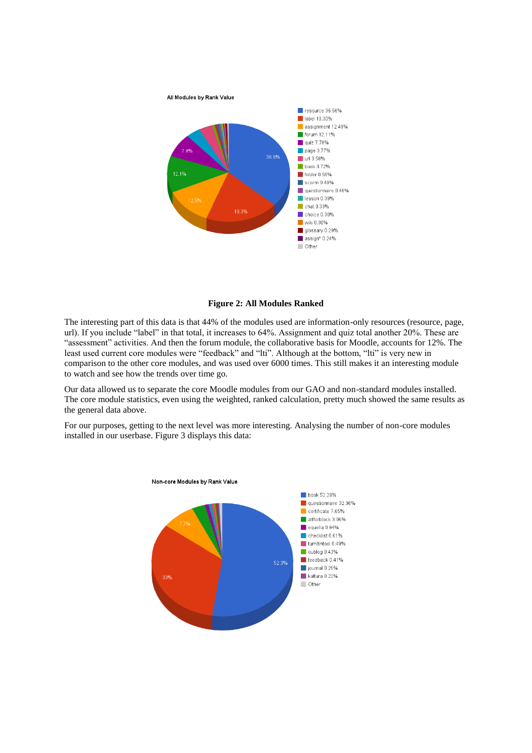

**Figure 2: All Modules Ranked**

The interesting part of this data is that 44% of the modules used are information-only resources (resource, page, url). If you include "label" in that total, it increases to 64%. Assignment and quiz total another 20%. These are "assessment" activities. And then the forum module, the collaborative basis for Moodle, accounts for 12%. The least used current core modules were "feedback" and "lti". Although at the bottom, "lti" is very new in comparison to the other core modules, and was used over 6000 times. This still makes it an interesting module to watch and see how the trends over time go.

Our data allowed us to separate the core Moodle modules from our GAO and non-standard modules installed. The core module statistics, even using the weighted, ranked calculation, pretty much showed the same results as the general data above.

For our purposes, getting to the next level was more interesting. Analysing the number of non-core modules installed in our userbase. Figure 3 displays this data:

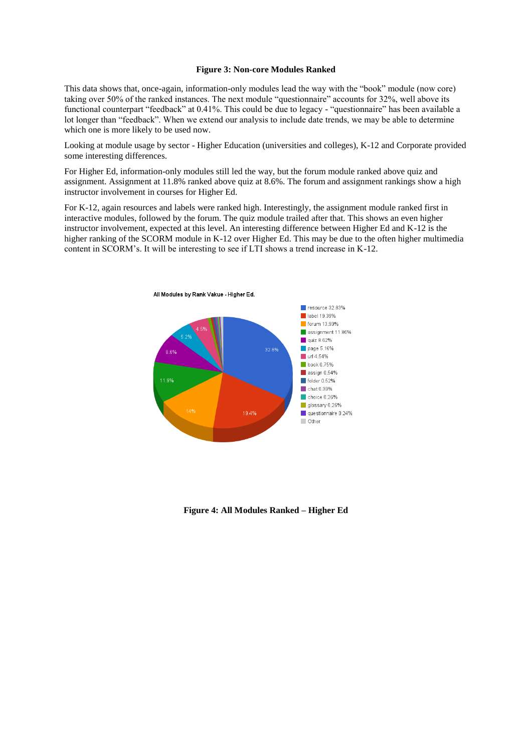#### **Figure 3: Non-core Modules Ranked**

This data shows that, once-again, information-only modules lead the way with the "book" module (now core) taking over 50% of the ranked instances. The next module "questionnaire" accounts for 32%, well above its functional counterpart "feedback" at 0.41%. This could be due to legacy - "questionnaire" has been available a lot longer than "feedback". When we extend our analysis to include date trends, we may be able to determine which one is more likely to be used now.

Looking at module usage by sector - Higher Education (universities and colleges), K-12 and Corporate provided some interesting differences.

For Higher Ed, information-only modules still led the way, but the forum module ranked above quiz and assignment. Assignment at 11.8% ranked above quiz at 8.6%. The forum and assignment rankings show a high instructor involvement in courses for Higher Ed.

For K-12, again resources and labels were ranked high. Interestingly, the assignment module ranked first in interactive modules, followed by the forum. The quiz module trailed after that. This shows an even higher instructor involvement, expected at this level. An interesting difference between Higher Ed and K-12 is the higher ranking of the SCORM module in K-12 over Higher Ed. This may be due to the often higher multimedia content in SCORM's. It will be interesting to see if LTI shows a trend increase in K-12.



**Figure 4: All Modules Ranked – Higher Ed**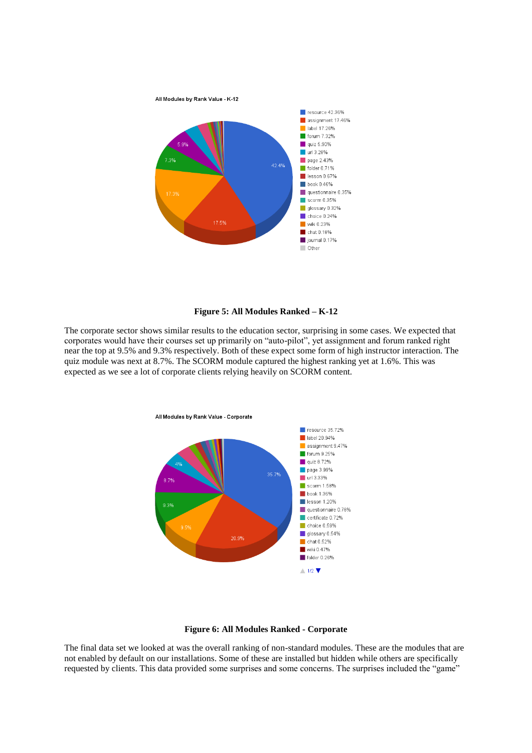

#### **Figure 5: All Modules Ranked – K-12**

The corporate sector shows similar results to the education sector, surprising in some cases. We expected that corporates would have their courses set up primarily on "auto-pilot", yet assignment and forum ranked right near the top at 9.5% and 9.3% respectively. Both of these expect some form of high instructor interaction. The quiz module was next at 8.7%. The SCORM module captured the highest ranking yet at 1.6%. This was expected as we see a lot of corporate clients relying heavily on SCORM content.



#### **Figure 6: All Modules Ranked - Corporate**

The final data set we looked at was the overall ranking of non-standard modules. These are the modules that are not enabled by default on our installations. Some of these are installed but hidden while others are specifically requested by clients. This data provided some surprises and some concerns. The surprises included the "game"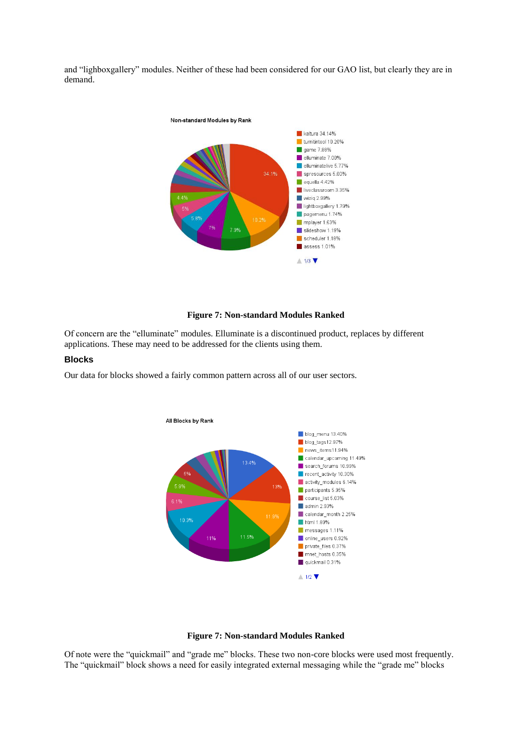and "lighboxgallery" modules. Neither of these had been considered for our GAO list, but clearly they are in demand.



#### **Figure 7: Non-standard Modules Ranked**

Of concern are the "elluminate" modules. Elluminate is a discontinued product, replaces by different applications. These may need to be addressed for the clients using them.

### **Blocks**

Our data for blocks showed a fairly common pattern across all of our user sectors.



#### **Figure 7: Non-standard Modules Ranked**

Of note were the "quickmail" and "grade me" blocks. These two non-core blocks were used most frequently. The "quickmail" block shows a need for easily integrated external messaging while the "grade me" blocks